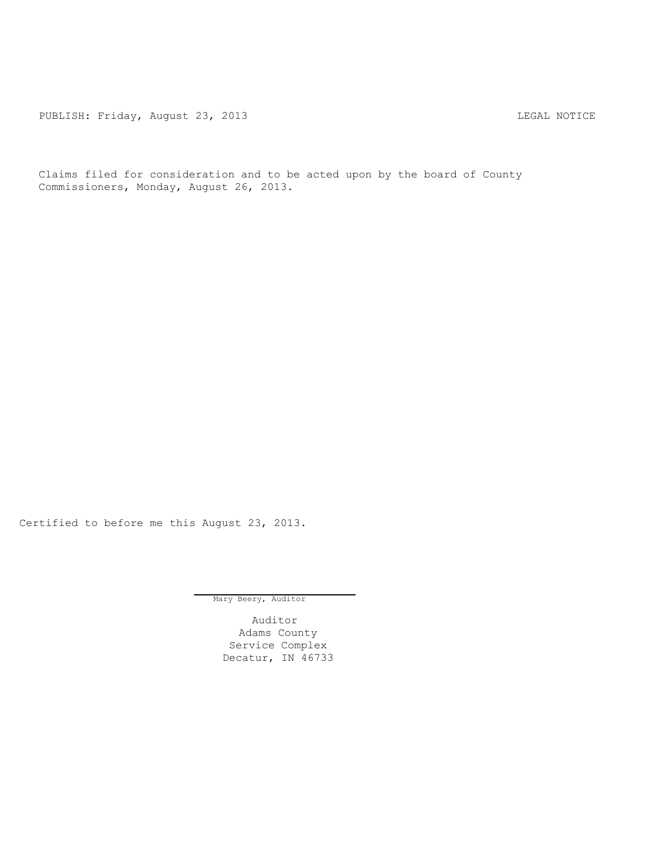PUBLISH: Friday, August 23, 2013 CHARL MOTICE

Claims filed for consideration and to be acted upon by the board of County Commissioners, Monday, August 26, 2013.

Certified to before me this August 23, 2013.

Mary Beery, Auditor

Auditor Adams County Service Complex Decatur, IN 46733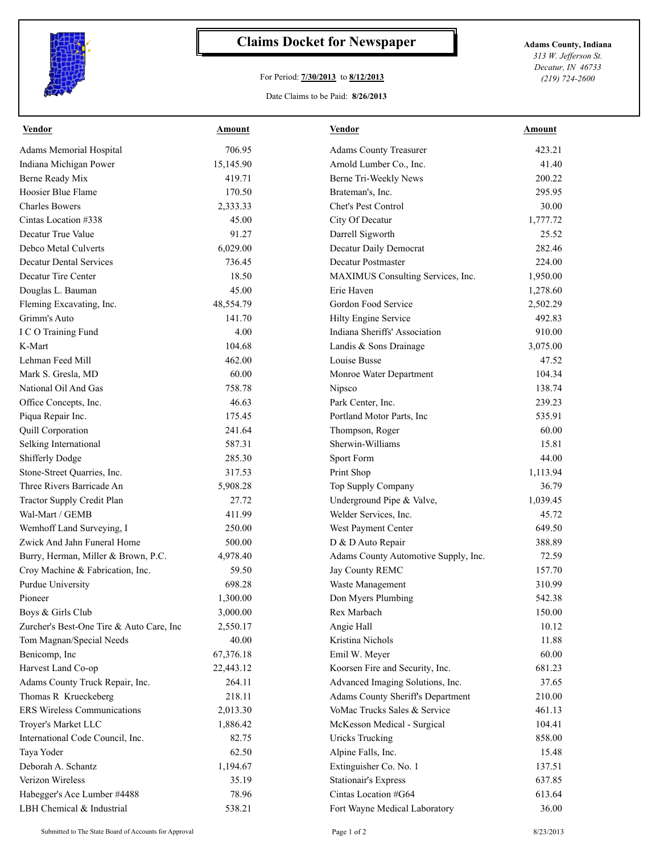

## **Claims Docket for Newspaper Adams County, Indiana**

## For Period: **7/30/2013** to **8/12/2013**

*313 W. Jefferson St. Decatur, IN 46733 (219) 724-2600*

## Date Claims to be Paid: **8/26/2013**

| <b>Vendor</b>                                   | <b>Amount</b>  | <b>Vendor</b>                                       | <b>Amount</b>    |
|-------------------------------------------------|----------------|-----------------------------------------------------|------------------|
| Adams Memorial Hospital                         | 706.95         | <b>Adams County Treasurer</b>                       | 423.21           |
| Indiana Michigan Power                          | 15,145.90      | Arnold Lumber Co., Inc.                             | 41.40            |
| Berne Ready Mix                                 | 419.71         | Berne Tri-Weekly News                               | 200.22           |
| Hoosier Blue Flame                              | 170.50         | Brateman's, Inc.                                    | 295.95           |
| <b>Charles Bowers</b>                           | 2,333.33       | Chet's Pest Control                                 | 30.00            |
| Cintas Location #338                            | 45.00          | City Of Decatur                                     | 1,777.72         |
| Decatur True Value                              | 91.27          | Darrell Sigworth                                    | 25.52            |
| Debco Metal Culverts                            | 6,029.00       | Decatur Daily Democrat                              | 282.46           |
| <b>Decatur Dental Services</b>                  | 736.45         | <b>Decatur Postmaster</b>                           | 224.00           |
| Decatur Tire Center                             | 18.50          | MAXIMUS Consulting Services, Inc.                   | 1,950.00         |
| Douglas L. Bauman                               | 45.00          | Erie Haven                                          | 1,278.60         |
| Fleming Excavating, Inc.                        | 48,554.79      | Gordon Food Service                                 | 2,502.29         |
| Grimm's Auto                                    | 141.70         | Hilty Engine Service                                | 492.83           |
| I C O Training Fund                             | 4.00           | Indiana Sheriffs' Association                       | 910.00           |
| K-Mart                                          | 104.68         | Landis & Sons Drainage                              | 3,075.00         |
| Lehman Feed Mill                                | 462.00         | Louise Busse                                        | 47.52            |
| Mark S. Gresla, MD                              | 60.00          | Monroe Water Department                             | 104.34           |
| National Oil And Gas                            | 758.78         | Nipsco                                              | 138.74           |
| Office Concepts, Inc.                           | 46.63          | Park Center, Inc.                                   | 239.23           |
| Piqua Repair Inc.                               | 175.45         | Portland Motor Parts, Inc.                          | 535.91           |
| Quill Corporation                               | 241.64         | Thompson, Roger                                     | 60.00            |
| Selking International                           | 587.31         | Sherwin-Williams                                    | 15.81            |
| <b>Shifferly Dodge</b>                          | 285.30         | Sport Form                                          | 44.00            |
| Stone-Street Quarries, Inc.                     | 317.53         | Print Shop                                          | 1,113.94         |
| Three Rivers Barricade An                       | 5,908.28       | Top Supply Company                                  | 36.79            |
| Tractor Supply Credit Plan                      | 27.72          | Underground Pipe & Valve,                           | 1,039.45         |
| Wal-Mart / GEMB                                 | 411.99         | Welder Services, Inc.                               | 45.72            |
| Wemhoff Land Surveying, I                       | 250.00         | West Payment Center                                 | 649.50           |
| Zwick And Jahn Funeral Home                     | 500.00         | D & D Auto Repair                                   | 388.89           |
| Burry, Herman, Miller & Brown, P.C.             | 4,978.40       | Adams County Automotive Supply, Inc.                | 72.59            |
| Croy Machine & Fabrication, Inc.                | 59.50          | Jay County REMC                                     | 157.70           |
| Purdue University                               | 698.28         | Waste Management                                    | 310.99           |
| Pioneer                                         | 1,300.00       | Don Myers Plumbing                                  | 542.38           |
| Boys & Girls Club                               | 3,000.00       | Rex Marbach                                         | 150.00           |
| Zurcher's Best-One Tire & Auto Care, Inc        | 2,550.17       | Angie Hall                                          | 10.12            |
| Tom Magnan/Special Needs                        | 40.00          | Kristina Nichols                                    | 11.88            |
| Benicomp, Inc                                   | 67,376.18      | Emil W. Meyer                                       | 60.00            |
| Harvest Land Co-op                              | 22,443.12      | Koorsen Fire and Security, Inc.                     | 681.23           |
| Adams County Truck Repair, Inc.                 | 264.11         | Advanced Imaging Solutions, Inc.                    | 37.65            |
| Thomas R Krueckeberg                            | 218.11         | Adams County Sheriff's Department                   | 210.00           |
| <b>ERS Wireless Communications</b>              | 2,013.30       | VoMac Trucks Sales & Service                        | 461.13           |
| Troyer's Market LLC                             | 1,886.42       | McKesson Medical - Surgical                         | 104.41           |
| International Code Council, Inc.                | 82.75          | <b>Uricks Trucking</b>                              | 858.00           |
| Taya Yoder                                      | 62.50          | Alpine Falls, Inc.                                  | 15.48            |
| Deborah A. Schantz                              | 1,194.67       | Extinguisher Co. No. 1                              | 137.51           |
|                                                 |                |                                                     |                  |
|                                                 |                |                                                     |                  |
| Verizon Wireless<br>Habegger's Ace Lumber #4488 | 35.19<br>78.96 | <b>Stationair's Express</b><br>Cintas Location #G64 | 637.85<br>613.64 |